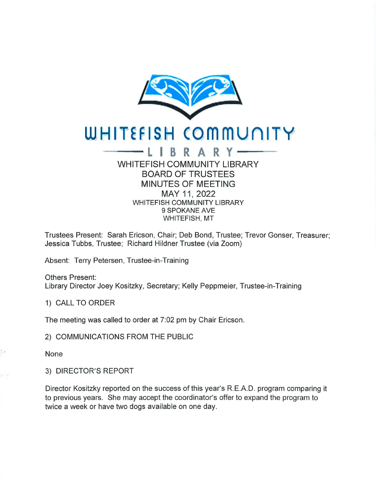

## **WHITEFISH COMMUNITY**

## WHITEFISH COMMUNITY LIBRARY BOARD OF TRUSTEES MINUTES OF MEETING MAY 11, 2022 WHITEFISH COMMUNITY LIBRARY 9 SPOKANE AVE WHITEFISH, MT

Trustees Present: Sarah Ericson, Chair; Deb Bond, Trustee; Trevor Gonser, Treasurer; Jessica Tubbs, Trustee; Richard Hildner Trustee (via Zoom)

Absent: Terry Petersen, Trustee-in-Training

Others Present: Library Director Joey Kositzky, Secretary; Kelly Peppmeier, Trustee-in-Training

1) CALL TO ORDER

The meeting was called to order at 7:02 pm by Chair Ericson.

2) COMMUNICATIONS FROM THE PUBLIC

None

 $E_1$   $\frac{1}{2}$ 

 $\left| \cdot \right|^{2}$ 

3) DIRECTOR'S REPORT

Director Kositzky reported on the success of this year's R.E.A.D. program comparing it to previous years. She may accept the coordinator's offer to expand the program to twice a week or have two dogs available on one day.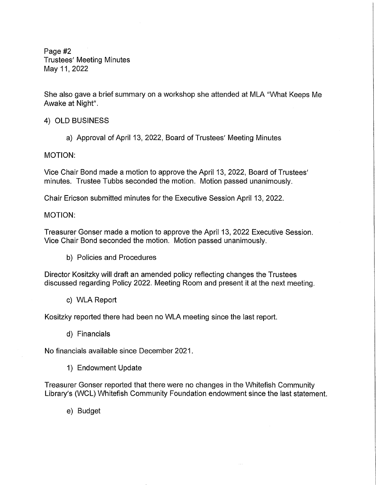Page #2 Trustees' Meeting Minutes May 11, 2022

She also gave a brief summary on a workshop she attended at MLA "What Keeps Me Awake at Night".

**4) OLD BUSINESS** 

a) Approval of April 13, 2022, Board of Trustees' Meeting Minutes

**MOTION:** 

Vice Chair Bond made a motion to approve the April 13, 2022, Board of Trustees' minutes. Trustee Tubbs seconded the motion. Motion passed unanimously.

Chair Ericson submitted minutes for the Executive Session April 13, 2022.

**MOTION:** 

Treasurer Gonser made a motion to approve the April 13, 2022 Executive Session. Vice Chair Bond seconded the motion. Motion passed unanimously.

b) Policies and Procedures

Director Kositzky will draft an amended policy reflecting changes the Trustees discussed regarding Policy 2022. Meeting Room and present it at the next meeting.

c) WLA Report

Kositzky reported there had been no WLA meeting since the last report.

d) Financials

No financials available since December 2021.

1) Endowment Update

Treasurer Gonser reported that there were no changes in the Whitefish Community Library's (WCL) Whitefish Community Foundation endowment since the last statement.

e) Budget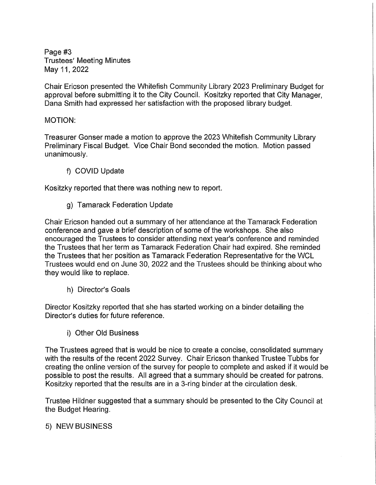Page #3 Trustees' Meeting Minutes May 11, 2022

Chair Ericson presented the Whitefish Community Library 2023 Preliminary Budget for approval before submitting it to the City Council. Kositzky reported that City Manager, Dana Smith had expressed her satisfaction with the proposed library budget.

## MOTION:

Treasurer Gonser made a motion to approve the 2023 Whitefish Community Library Preliminary Fiscal Budget. Vice Chair Bond seconded the motion. Motion passed unanimously.

f) COVID Update

Kositzky reported that there was nothing new to report.

g) Tamarack Federation Update

Chair Ericson handed out a summary of her attendance at the Tamarack Federation conference and gave a brief description of some of the workshops. She also encouraged the Trustees to consider attending next year's conference and reminded the Trustees that her term as Tamarack Federation Chair had expired. She reminded the Trustees that her position as Tamarack Federation Representative for the WCL Trustees would end on June 30, 2022 and the Trustees should be thinking about who they would like to replace.

h) Director's Goals

Director Kositzky reported that she has started working on a binder detailing the Director's duties for future reference.

i) Other Old Business

The Trustees agreed that is would be nice to create a concise, consolidated summary with the results of the recent 2022 Survey. Chair Ericson thanked Trustee Tubbs for creating the online version of the survey for people to complete and asked if it would be possible to post the results. All agreed that a summary should be created for patrons. Kositzky reported that the results are in a 3-ring binder at the circulation desk.

Trustee Hildner suggested that a summary should be presented to the City Council at the Budget Hearing.

5) NEW BUSINESS